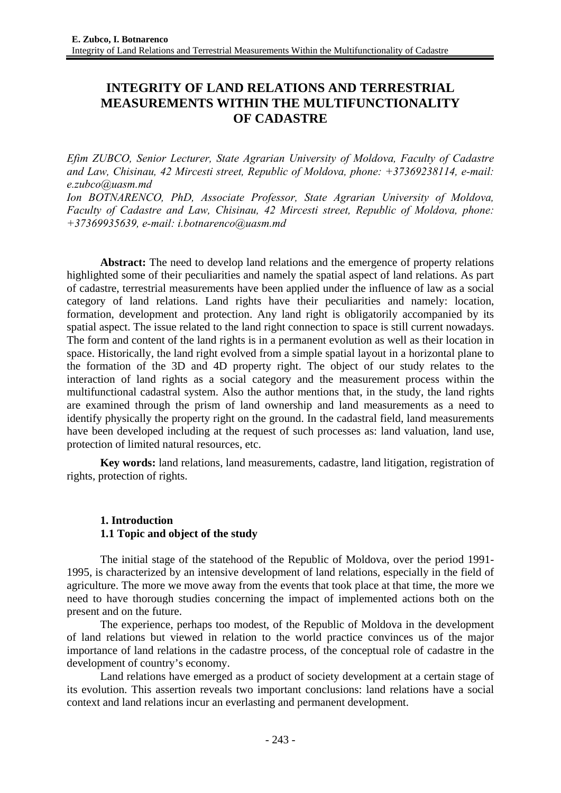# **INTEGRITY OF LAND RELATIONS AND TERRESTRIAL MEASUREMENTS WITHIN THE MULTIFUNCTIONALITY OF CADASTRE**

*Efim ZUBCO, Senior Lecturer, State Agrarian University of Moldova, Faculty of Cadastre and Law, Chisinau, 42 Mircesti street, Republic of Moldova, phone: +37369238114, e-mail: e.zubco@uasm.md* 

*Ion BOTNARENCO, PhD, Associate Professor, State Agrarian University of Moldova, Faculty of Cadastre and Law, Chisinau, 42 Mircesti street, Republic of Moldova, phone: +37369935639, e-mail: i.botnarenco@uasm.md*

**Abstract:** The need to develop land relations and the emergence of property relations highlighted some of their peculiarities and namely the spatial aspect of land relations. As part of cadastre, terrestrial measurements have been applied under the influence of law as a social category of land relations. Land rights have their peculiarities and namely: location, formation, development and protection. Any land right is obligatorily accompanied by its spatial aspect. The issue related to the land right connection to space is still current nowadays. The form and content of the land rights is in a permanent evolution as well as their location in space. Historically, the land right evolved from a simple spatial layout in a horizontal plane to the formation of the 3D and 4D property right. The object of our study relates to the interaction of land rights as a social category and the measurement process within the multifunctional cadastral system. Also the author mentions that, in the study, the land rights are examined through the prism of land ownership and land measurements as a need to identify physically the property right on the ground. In the cadastral field, land measurements have been developed including at the request of such processes as: land valuation, land use, protection of limited natural resources, etc.

**Key words:** land relations, land measurements, cadastre, land litigation, registration of rights, protection of rights.

### **1. Introduction 1.1 Topic and object of the study**

The initial stage of the statehood of the Republic of Moldova, over the period 1991- 1995, is characterized by an intensive development of land relations, especially in the field of agriculture. The more we move away from the events that took place at that time, the more we need to have thorough studies concerning the impact of implemented actions both on the present and on the future.

The experience, perhaps too modest, of the Republic of Moldova in the development of land relations but viewed in relation to the world practice convinces us of the major importance of land relations in the cadastre process, of the conceptual role of cadastre in the development of country's economy.

Land relations have emerged as a product of society development at a certain stage of its evolution. This assertion reveals two important conclusions: land relations have a social context and land relations incur an everlasting and permanent development.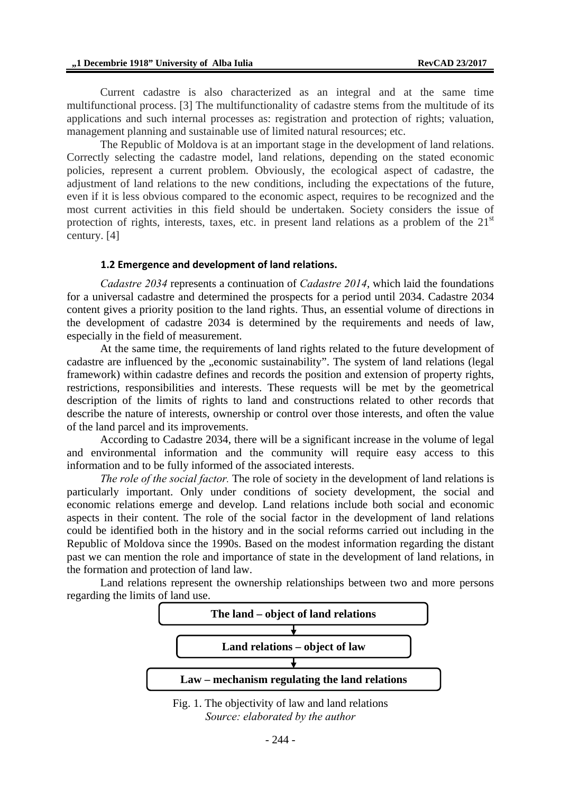Current cadastre is also characterized as an integral and at the same time multifunctional process. [3] The multifunctionality of cadastre stems from the multitude of its applications and such internal processes as: registration and protection of rights; valuation, management planning and sustainable use of limited natural resources; etc.

The Republic of Moldova is at an important stage in the development of land relations. Correctly selecting the cadastre model, land relations, depending on the stated economic policies, represent a current problem. Obviously, the ecological aspect of cadastre, the adjustment of land relations to the new conditions, including the expectations of the future, even if it is less obvious compared to the economic aspect, requires to be recognized and the most current activities in this field should be undertaken. Society considers the issue of protection of rights, interests, taxes, etc. in present land relations as a problem of the  $21<sup>st</sup>$ century. [4]

#### **1.2 Emergence and development of land relations.**

*Cadastre 2034* represents a continuation of *Cadastre 2014*, which laid the foundations for a universal cadastre and determined the prospects for a period until 2034. Cadastre 2034 content gives a priority position to the land rights. Thus, an essential volume of directions in the development of cadastre 2034 is determined by the requirements and needs of law, especially in the field of measurement.

At the same time, the requirements of land rights related to the future development of cadastre are influenced by the "economic sustainability". The system of land relations (legal framework) within cadastre defines and records the position and extension of property rights, restrictions, responsibilities and interests. These requests will be met by the geometrical description of the limits of rights to land and constructions related to other records that describe the nature of interests, ownership or control over those interests, and often the value of the land parcel and its improvements.

According to Cadastre 2034, there will be a significant increase in the volume of legal and environmental information and the community will require easy access to this information and to be fully informed of the associated interests.

*The role of the social factor.* The role of society in the development of land relations is particularly important. Only under conditions of society development, the social and economic relations emerge and develop. Land relations include both social and economic aspects in their content. The role of the social factor in the development of land relations could be identified both in the history and in the social reforms carried out including in the Republic of Moldova since the 1990s. Based on the modest information regarding the distant past we can mention the role and importance of state in the development of land relations, in the formation and protection of land law.

Land relations represent the ownership relationships between two and more persons regarding the limits of land use.



Fig. 1. The objectivity of law and land relations *Source: elaborated by the author*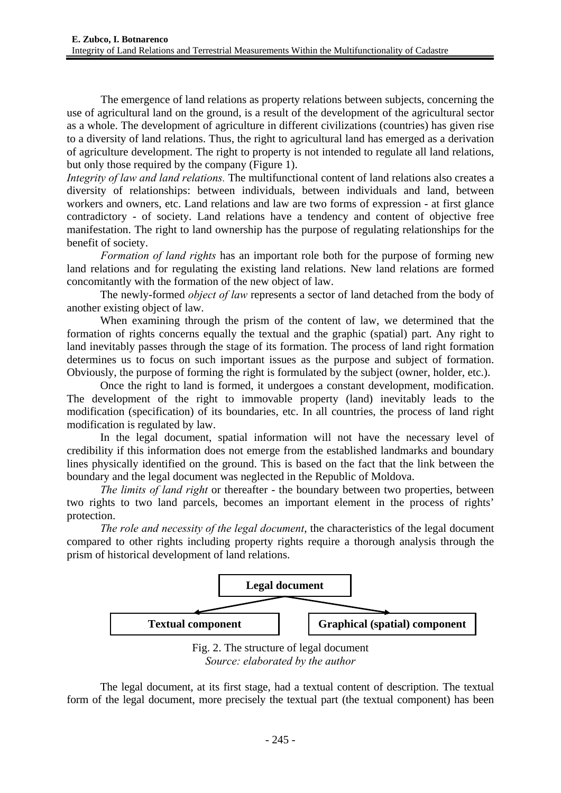The emergence of land relations as property relations between subjects, concerning the use of agricultural land on the ground, is a result of the development of the agricultural sector as a whole. The development of agriculture in different civilizations (countries) has given rise to a diversity of land relations. Thus, the right to agricultural land has emerged as a derivation of agriculture development. The right to property is not intended to regulate all land relations, but only those required by the company (Figure 1).

*Integrity of law and land relations.* The multifunctional content of land relations also creates a diversity of relationships: between individuals, between individuals and land, between workers and owners, etc. Land relations and law are two forms of expression - at first glance contradictory - of society. Land relations have a tendency and content of objective free manifestation. The right to land ownership has the purpose of regulating relationships for the benefit of society.

*Formation of land rights* has an important role both for the purpose of forming new land relations and for regulating the existing land relations. New land relations are formed concomitantly with the formation of the new object of law.

The newly-formed *object of law* represents a sector of land detached from the body of another existing object of law.

When examining through the prism of the content of law, we determined that the formation of rights concerns equally the textual and the graphic (spatial) part. Any right to land inevitably passes through the stage of its formation. The process of land right formation determines us to focus on such important issues as the purpose and subject of formation. Obviously, the purpose of forming the right is formulated by the subject (owner, holder, etc.).

Once the right to land is formed, it undergoes a constant development, modification. The development of the right to immovable property (land) inevitably leads to the modification (specification) of its boundaries, etc. In all countries, the process of land right modification is regulated by law.

In the legal document, spatial information will not have the necessary level of credibility if this information does not emerge from the established landmarks and boundary lines physically identified on the ground. This is based on the fact that the link between the boundary and the legal document was neglected in the Republic of Moldova.

*The limits of land right* or thereafter - the boundary between two properties, between two rights to two land parcels, becomes an important element in the process of rights' protection.

*The role and necessity of the legal document*, the characteristics of the legal document compared to other rights including property rights require a thorough analysis through the prism of historical development of land relations.



Fig. 2. The structure of legal document *Source: elaborated by the author* 

The legal document, at its first stage, had a textual content of description. The textual form of the legal document, more precisely the textual part (the textual component) has been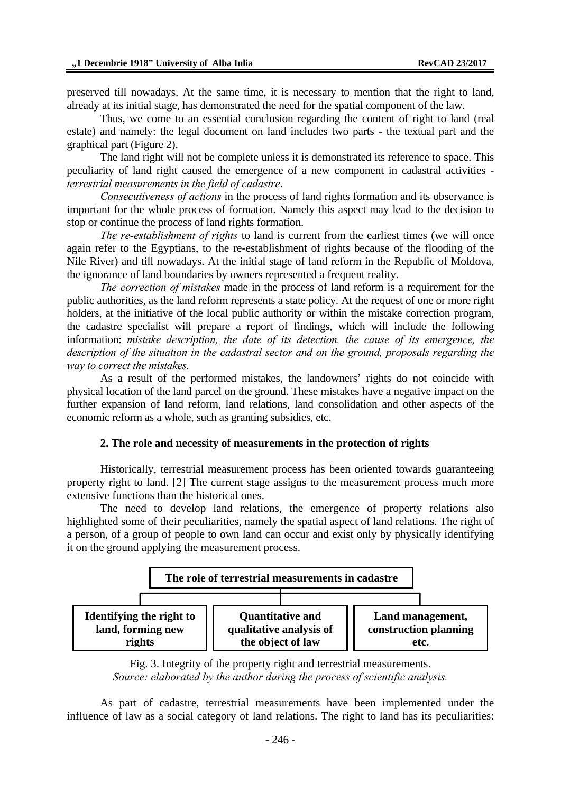preserved till nowadays. At the same time, it is necessary to mention that the right to land, already at its initial stage, has demonstrated the need for the spatial component of the law.

Thus, we come to an essential conclusion regarding the content of right to land (real estate) and namely: the legal document on land includes two parts - the textual part and the graphical part (Figure 2).

The land right will not be complete unless it is demonstrated its reference to space. This peculiarity of land right caused the emergence of a new component in cadastral activities *terrestrial measurements in the field of cadastre*.

*Consecutiveness of actions* in the process of land rights formation and its observance is important for the whole process of formation. Namely this aspect may lead to the decision to stop or continue the process of land rights formation.

*The re-establishment of rights* to land is current from the earliest times (we will once again refer to the Egyptians, to the re-establishment of rights because of the flooding of the Nile River) and till nowadays. At the initial stage of land reform in the Republic of Moldova, the ignorance of land boundaries by owners represented a frequent reality.

*The correction of mistakes* made in the process of land reform is a requirement for the public authorities, as the land reform represents a state policy. At the request of one or more right holders, at the initiative of the local public authority or within the mistake correction program, the cadastre specialist will prepare a report of findings, which will include the following information: *mistake description, the date of its detection, the cause of its emergence, the description of the situation in the cadastral sector and on the ground, proposals regarding the way to correct the mistakes.*

As a result of the performed mistakes, the landowners' rights do not coincide with physical location of the land parcel on the ground. These mistakes have a negative impact on the further expansion of land reform, land relations, land consolidation and other aspects of the economic reform as a whole, such as granting subsidies, etc.

#### **2. The role and necessity of measurements in the protection of rights**

Historically, terrestrial measurement process has been oriented towards guaranteeing property right to land. [2] The current stage assigns to the measurement process much more extensive functions than the historical ones.

The need to develop land relations, the emergence of property relations also highlighted some of their peculiarities, namely the spatial aspect of land relations. The right of a person, of a group of people to own land can occur and exist only by physically identifying it on the ground applying the measurement process.



Fig. 3. Integrity of the property right and terrestrial measurements. *Source: elaborated by the author during the process of scientific analysis.* 

As part of cadastre, terrestrial measurements have been implemented under the influence of law as a social category of land relations. The right to land has its peculiarities: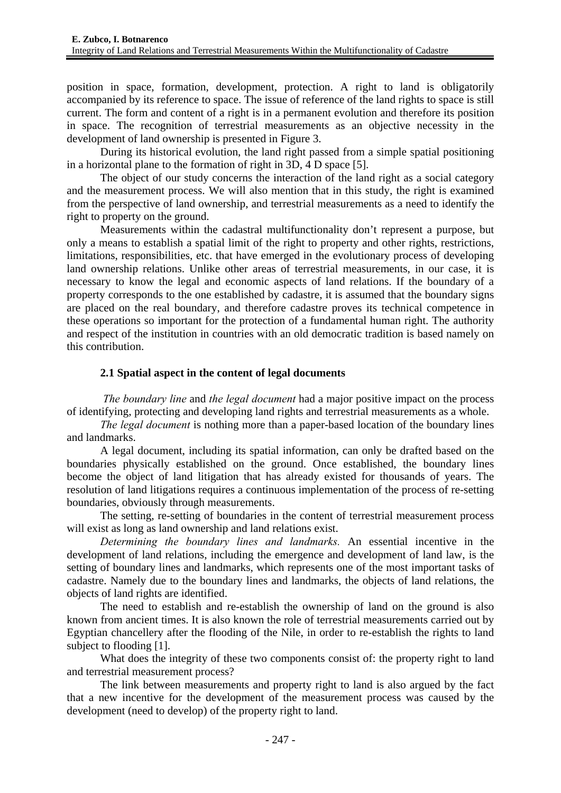position in space, formation, development, protection. A right to land is obligatorily accompanied by its reference to space. The issue of reference of the land rights to space is still current. The form and content of a right is in a permanent evolution and therefore its position in space. The recognition of terrestrial measurements as an objective necessity in the development of land ownership is presented in Figure 3.

During its historical evolution, the land right passed from a simple spatial positioning in a horizontal plane to the formation of right in 3D, 4 D space [5].

The object of our study concerns the interaction of the land right as a social category and the measurement process. We will also mention that in this study, the right is examined from the perspective of land ownership, and terrestrial measurements as a need to identify the right to property on the ground.

Measurements within the cadastral multifunctionality don't represent a purpose, but only a means to establish a spatial limit of the right to property and other rights, restrictions, limitations, responsibilities, etc. that have emerged in the evolutionary process of developing land ownership relations. Unlike other areas of terrestrial measurements, in our case, it is necessary to know the legal and economic aspects of land relations. If the boundary of a property corresponds to the one established by cadastre, it is assumed that the boundary signs are placed on the real boundary, and therefore cadastre proves its technical competence in these operations so important for the protection of a fundamental human right. The authority and respect of the institution in countries with an old democratic tradition is based namely on this contribution.

### **2.1 Spatial aspect in the content of legal documents**

 *The boundary line* and *the legal document* had a major positive impact on the process of identifying, protecting and developing land rights and terrestrial measurements as a whole.

*The legal document* is nothing more than a paper-based location of the boundary lines and landmarks.

A legal document, including its spatial information, can only be drafted based on the boundaries physically established on the ground. Once established, the boundary lines become the object of land litigation that has already existed for thousands of years. The resolution of land litigations requires a continuous implementation of the process of re-setting boundaries, obviously through measurements.

The setting, re-setting of boundaries in the content of terrestrial measurement process will exist as long as land ownership and land relations exist.

*Determining the boundary lines and landmarks.* An essential incentive in the development of land relations, including the emergence and development of land law, is the setting of boundary lines and landmarks, which represents one of the most important tasks of cadastre. Namely due to the boundary lines and landmarks, the objects of land relations, the objects of land rights are identified.

The need to establish and re-establish the ownership of land on the ground is also known from ancient times. It is also known the role of terrestrial measurements carried out by Egyptian chancellery after the flooding of the Nile, in order to re-establish the rights to land subject to flooding [1].

What does the integrity of these two components consist of: the property right to land and terrestrial measurement process?

The link between measurements and property right to land is also argued by the fact that a new incentive for the development of the measurement process was caused by the development (need to develop) of the property right to land.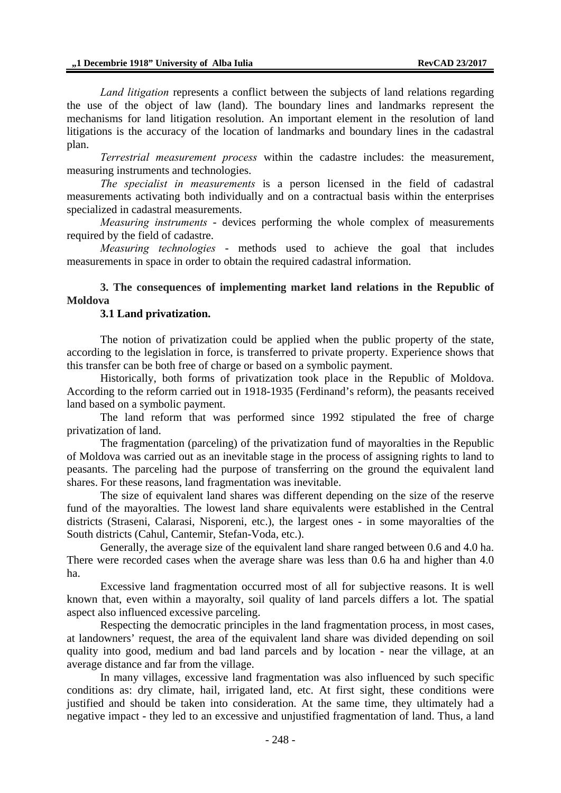*Land litigation* represents a conflict between the subjects of land relations regarding the use of the object of law (land). The boundary lines and landmarks represent the mechanisms for land litigation resolution. An important element in the resolution of land litigations is the accuracy of the location of landmarks and boundary lines in the cadastral plan.

*Terrestrial measurement process* within the cadastre includes: the measurement, measuring instruments and technologies.

*The specialist in measurements* is a person licensed in the field of cadastral measurements activating both individually and on a contractual basis within the enterprises specialized in cadastral measurements.

*Measuring instruments* - devices performing the whole complex of measurements required by the field of cadastre.

*Measuring technologies* - methods used to achieve the goal that includes measurements in space in order to obtain the required cadastral information.

### **3. The consequences of implementing market land relations in the Republic of Moldova**

### **3.1 Land privatization.**

The notion of privatization could be applied when the public property of the state, according to the legislation in force, is transferred to private property. Experience shows that this transfer can be both free of charge or based on a symbolic payment.

Historically, both forms of privatization took place in the Republic of Moldova. According to the reform carried out in 1918-1935 (Ferdinand's reform), the peasants received land based on a symbolic payment.

The land reform that was performed since 1992 stipulated the free of charge privatization of land.

The fragmentation (parceling) of the privatization fund of mayoralties in the Republic of Moldova was carried out as an inevitable stage in the process of assigning rights to land to peasants. The parceling had the purpose of transferring on the ground the equivalent land shares. For these reasons, land fragmentation was inevitable.

The size of equivalent land shares was different depending on the size of the reserve fund of the mayoralties. The lowest land share equivalents were established in the Central districts (Straseni, Calarasi, Nisporeni, etc.), the largest ones - in some mayoralties of the South districts (Cahul, Cantemir, Stefan-Voda, etc.).

Generally, the average size of the equivalent land share ranged between 0.6 and 4.0 ha. There were recorded cases when the average share was less than 0.6 ha and higher than 4.0 ha.

Excessive land fragmentation occurred most of all for subjective reasons. It is well known that, even within a mayoralty, soil quality of land parcels differs a lot. The spatial aspect also influenced excessive parceling.

Respecting the democratic principles in the land fragmentation process, in most cases, at landowners' request, the area of the equivalent land share was divided depending on soil quality into good, medium and bad land parcels and by location - near the village, at an average distance and far from the village.

In many villages, excessive land fragmentation was also influenced by such specific conditions as: dry climate, hail, irrigated land, etc. At first sight, these conditions were justified and should be taken into consideration. At the same time, they ultimately had a negative impact - they led to an excessive and unjustified fragmentation of land. Thus, a land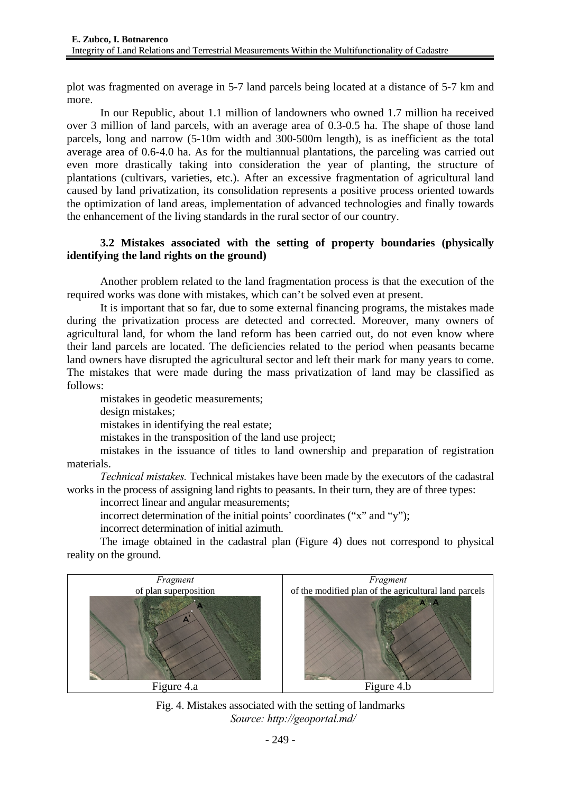plot was fragmented on average in 5-7 land parcels being located at a distance of 5-7 km and more.

In our Republic, about 1.1 million of landowners who owned 1.7 million ha received over 3 million of land parcels, with an average area of 0.3-0.5 ha. The shape of those land parcels, long and narrow (5-10m width and 300-500m length), is as inefficient as the total average area of 0.6-4.0 ha. As for the multiannual plantations, the parceling was carried out even more drastically taking into consideration the year of planting, the structure of plantations (cultivars, varieties, etc.). After an excessive fragmentation of agricultural land caused by land privatization, its consolidation represents a positive process oriented towards the optimization of land areas, implementation of advanced technologies and finally towards the enhancement of the living standards in the rural sector of our country.

## **3.2 Mistakes associated with the setting of property boundaries (physically identifying the land rights on the ground)**

Another problem related to the land fragmentation process is that the execution of the required works was done with mistakes, which can't be solved even at present.

It is important that so far, due to some external financing programs, the mistakes made during the privatization process are detected and corrected. Moreover, many owners of agricultural land, for whom the land reform has been carried out, do not even know where their land parcels are located. The deficiencies related to the period when peasants became land owners have disrupted the agricultural sector and left their mark for many years to come. The mistakes that were made during the mass privatization of land may be classified as follows:

mistakes in geodetic measurements; design mistakes; mistakes in identifying the real estate; mistakes in the transposition of the land use project;

mistakes in the issuance of titles to land ownership and preparation of registration materials.

*Technical mistakes.* Technical mistakes have been made by the executors of the cadastral works in the process of assigning land rights to peasants. In their turn, they are of three types:

incorrect linear and angular measurements;

incorrect determination of the initial points' coordinates ("x" and "y"):

incorrect determination of initial azimuth.

The image obtained in the cadastral plan (Figure 4) does not correspond to physical reality on the ground.



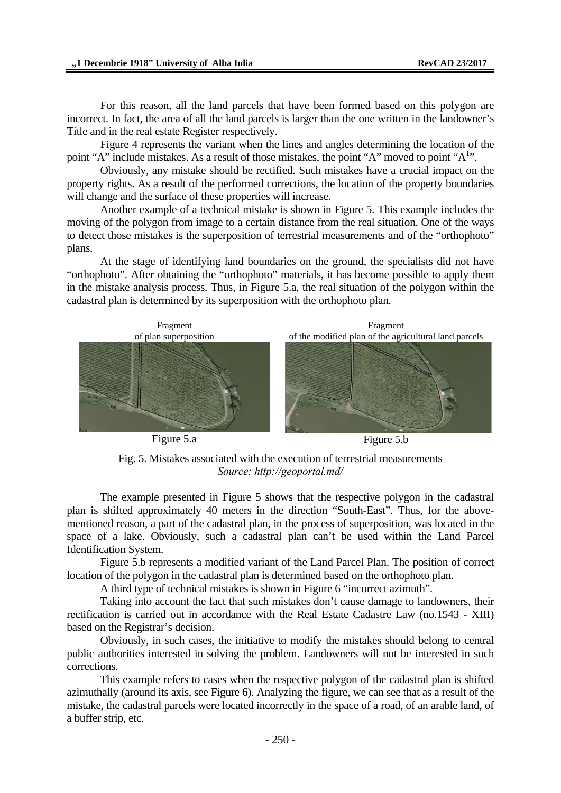For this reason, all the land parcels that have been formed based on this polygon are incorrect. In fact, the area of all the land parcels is larger than the one written in the landowner's Title and in the real estate Register respectively.

Figure 4 represents the variant when the lines and angles determining the location of the point "A" include mistakes. As a result of those mistakes, the point "A" moved to point "A<sup>1</sup>".

Obviously, any mistake should be rectified. Such mistakes have a crucial impact on the property rights. As a result of the performed corrections, the location of the property boundaries will change and the surface of these properties will increase.

Another example of a technical mistake is shown in Figure 5. This example includes the moving of the polygon from image to a certain distance from the real situation. One of the ways to detect those mistakes is the superposition of terrestrial measurements and of the "orthophoto" plans.

At the stage of identifying land boundaries on the ground, the specialists did not have "orthophoto". After obtaining the "orthophoto" materials, it has become possible to apply them in the mistake analysis process. Thus, in Figure 5.a, the real situation of the polygon within the cadastral plan is determined by its superposition with the orthophoto plan.



Fig. 5. Mistakes associated with the execution of terrestrial measurements *Source: http://geoportal.md/* 

The example presented in Figure 5 shows that the respective polygon in the cadastral plan is shifted approximately 40 meters in the direction "South-East". Thus, for the abovementioned reason, a part of the cadastral plan, in the process of superposition, was located in the space of a lake. Obviously, such a cadastral plan can't be used within the Land Parcel Identification System.

Figure 5.b represents a modified variant of the Land Parcel Plan. The position of correct location of the polygon in the cadastral plan is determined based on the orthophoto plan.

A third type of technical mistakes is shown in Figure 6 "incorrect azimuth".

Taking into account the fact that such mistakes don't cause damage to landowners, their rectification is carried out in accordance with the Real Estate Cadastre Law (no.1543 - XIII) based on the Registrar's decision.

Obviously, in such cases, the initiative to modify the mistakes should belong to central public authorities interested in solving the problem. Landowners will not be interested in such corrections.

This example refers to cases when the respective polygon of the cadastral plan is shifted azimuthally (around its axis, see Figure 6). Analyzing the figure, we can see that as a result of the mistake, the cadastral parcels were located incorrectly in the space of a road, of an arable land, of a buffer strip, etc.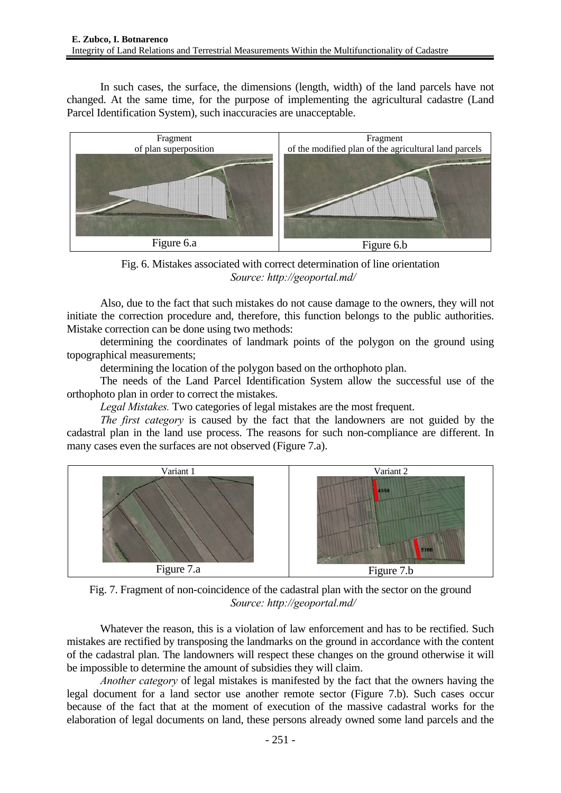In such cases, the surface, the dimensions (length, width) of the land parcels have not changed. At the same time, for the purpose of implementing the agricultural cadastre (Land Parcel Identification System), such inaccuracies are unacceptable.



Fig. 6. Mistakes associated with correct determination of line orientation *Source: http://geoportal.md/* 

Also, due to the fact that such mistakes do not cause damage to the owners, they will not initiate the correction procedure and, therefore, this function belongs to the public authorities. Mistake correction can be done using two methods:

determining the coordinates of landmark points of the polygon on the ground using topographical measurements;

determining the location of the polygon based on the orthophoto plan.

The needs of the Land Parcel Identification System allow the successful use of the orthophoto plan in order to correct the mistakes.

*Legal Mistakes.* Two categories of legal mistakes are the most frequent.

*The first category* is caused by the fact that the landowners are not guided by the cadastral plan in the land use process. The reasons for such non-compliance are different. In many cases even the surfaces are not observed (Figure 7.a).



Fig. 7. Fragment of non-coincidence of the cadastral plan with the sector on the ground *Source: http://geoportal.md/* 

Whatever the reason, this is a violation of law enforcement and has to be rectified. Such mistakes are rectified by transposing the landmarks on the ground in accordance with the content of the cadastral plan. The landowners will respect these changes on the ground otherwise it will be impossible to determine the amount of subsidies they will claim.

*Another category* of legal mistakes is manifested by the fact that the owners having the legal document for a land sector use another remote sector (Figure 7.b). Such cases occur because of the fact that at the moment of execution of the massive cadastral works for the elaboration of legal documents on land, these persons already owned some land parcels and the